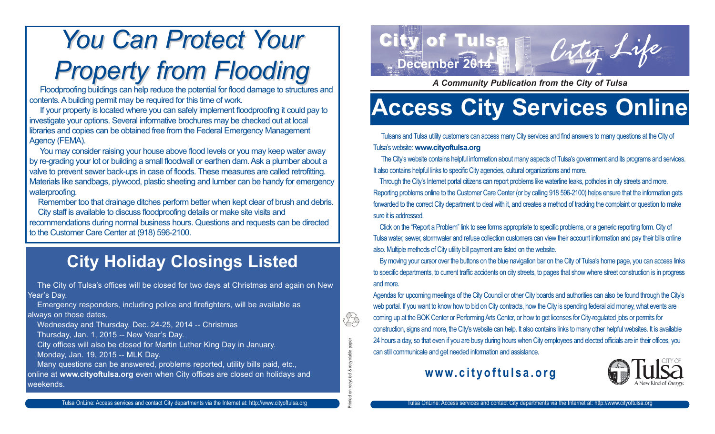## **You Can Protect Your** *Property from Flooding Property from Flooding*

Floodproofing buildings can help reduce the potential for flood damage to structures and contents. A building permit may be required for this time of work.

If your property is located where you can safely implement floodproofing it could pay to investigate your options. Several informative brochures may be checked out at local libraries and copies can be obtained free from the Federal Emergency Management Agency (FEMA).

You may consider raising your house above flood levels or you may keep water away by re-grading your lot or building a small floodwall or earthen dam. Ask a plumber about a valve to prevent sewer back-ups in case of floods. These measures are called retrofitting. Materials like sandbags, plywood, plastic sheeting and lumber can be handy for emergency waterproofing.

Remember too that drainage ditches perform better when kept clear of brush and debris. City staff is available to discuss floodproofing details or make site visits and

recommendations during normal business hours. Questions and requests can be directed to the Customer Care Center at (918) 596-2100.

### **City Holiday Closings Listed**

The City of Tulsa's offices will be closed for two days at Christmas and again on New Year's Day.

Emergency responders, including police and firefighters, will be available as always on those dates.

Wednesday and Thursday, Dec. 24-25, 2014 -- Christmas

Thursday, Jan. 1, 2015 -- New Year's Day.

City offices will also be closed for Martin Luther King Day in January.

Monday, Jan. 19, 2015 -- MLK Day.

Many questions can be answered, problems reported, utility bills paid, etc., online at **www.cityoftulsa.org** even when City offices are closed on holidays and weekends.



*A Community Publication from the City of Tulsa*

### **Access City Services Online**

Tulsans and Tulsa utility customers can access many City services and find answers to many questions at the City of Tulsa's website: **www.cityoftulsa.org**

The City's website contains helpful information about many aspects of Tulsa's government and its programs and services. It also contains helpful links to specific City agencies, cultural organizations and more.

Through the City's Internet portal citizens can report problems like waterline leaks, potholes in city streets and more. Reporting problems online to the Customer Care Center (or by calling 918 596-2100) helps ensure that the information gets forwarded to the correct City department to deal with it, and creates a method of tracking the complaint or question to make sure it is addressed.

Click on the "Report a Problem" link to see forms appropriate to specific problems, or a generic reporting form. City of Tulsa water, sewer, stormwater and refuse collection customers can view their account information and pay their bills online also. Multiple methods of City utility bill payment are listed on the website.

By moving your cursor over the buttons on the blue navigation bar on the City of Tulsa's home page, you can access links to specific departments, to current traffic accidents on city streets, to pages that show where street construction is in progress and more.

Agendas for upcoming meetings of the City Council or other City boards and authorities can also be found through the City's web portal. If you want to know how to bid on City contracts, how the City is spending federal aid money, what events are coming up at the BOK Center or Performing Arts Center, or how to get licenses for City-regulated jobs or permits for construction, signs and more, the City's website can help. It also contains links to many other helpful websites. It is available 24 hours a day, so that even if you are busy during hours when City employees and elected officials are in their offices, you can still communicate and get needed information and assistance.

### **www.cityoftulsa.org**

Printed on recycled & recyclable paper

ecycled &

recyclable paper

Ί